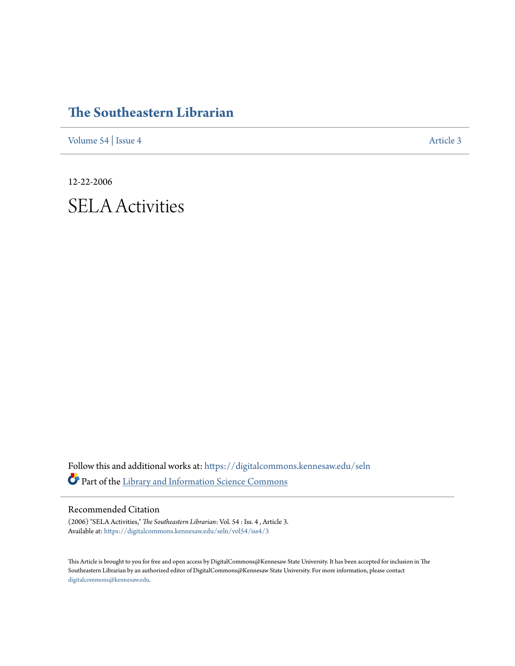# **[The Southeastern Librarian](https://digitalcommons.kennesaw.edu/seln?utm_source=digitalcommons.kennesaw.edu%2Fseln%2Fvol54%2Fiss4%2F3&utm_medium=PDF&utm_campaign=PDFCoverPages)**

[Volume 54](https://digitalcommons.kennesaw.edu/seln/vol54?utm_source=digitalcommons.kennesaw.edu%2Fseln%2Fvol54%2Fiss4%2F3&utm_medium=PDF&utm_campaign=PDFCoverPages) | [Issue 4](https://digitalcommons.kennesaw.edu/seln/vol54/iss4?utm_source=digitalcommons.kennesaw.edu%2Fseln%2Fvol54%2Fiss4%2F3&utm_medium=PDF&utm_campaign=PDFCoverPages) [Article 3](https://digitalcommons.kennesaw.edu/seln/vol54/iss4/3?utm_source=digitalcommons.kennesaw.edu%2Fseln%2Fvol54%2Fiss4%2F3&utm_medium=PDF&utm_campaign=PDFCoverPages)

12-22-2006

# SELA Activities

Follow this and additional works at: [https://digitalcommons.kennesaw.edu/seln](https://digitalcommons.kennesaw.edu/seln?utm_source=digitalcommons.kennesaw.edu%2Fseln%2Fvol54%2Fiss4%2F3&utm_medium=PDF&utm_campaign=PDFCoverPages) Part of the [Library and Information Science Commons](http://network.bepress.com/hgg/discipline/1018?utm_source=digitalcommons.kennesaw.edu%2Fseln%2Fvol54%2Fiss4%2F3&utm_medium=PDF&utm_campaign=PDFCoverPages)

#### Recommended Citation

(2006) "SELA Activities," *The Southeastern Librarian*: Vol. 54 : Iss. 4 , Article 3. Available at: [https://digitalcommons.kennesaw.edu/seln/vol54/iss4/3](https://digitalcommons.kennesaw.edu/seln/vol54/iss4/3?utm_source=digitalcommons.kennesaw.edu%2Fseln%2Fvol54%2Fiss4%2F3&utm_medium=PDF&utm_campaign=PDFCoverPages)

This Article is brought to you for free and open access by DigitalCommons@Kennesaw State University. It has been accepted for inclusion in The Southeastern Librarian by an authorized editor of DigitalCommons@Kennesaw State University. For more information, please contact [digitalcommons@kennesaw.edu.](mailto:digitalcommons@kennesaw.edu)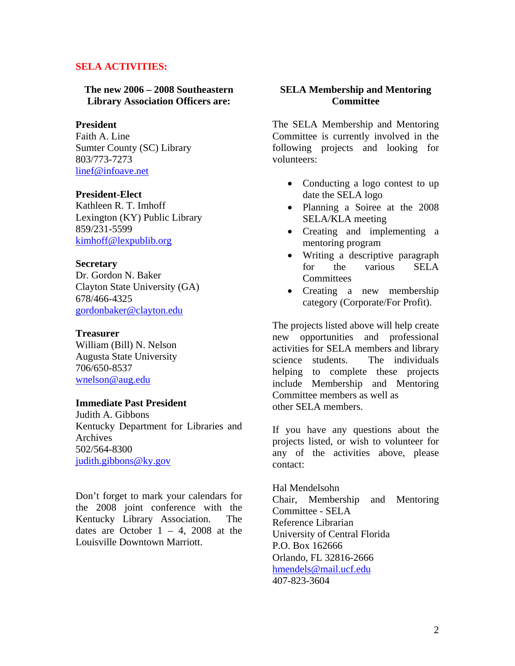### **SELA ACTIVITIES:**

**The new 2006 – 2008 Southeastern Library Association Officers are:** 

#### **President**

Faith A. Line Sumter County (SC) Library 803/773-7273 [linef@infoave.net](mailto:linef@infoave.net)

#### **President-Elect**

Kathleen R. T. Imhoff Lexington (KY) Public Library 859/231-5599 [kimhoff@lexpublib.org](mailto:kimhoff@lexpublib.org)

#### **Secretary**

Dr. Gordon N. Baker Clayton State University (GA) 678/466-4325 [gordonbaker@clayton.edu](mailto:gordonbaker@clayton.edu)

#### **Treasurer**

William (Bill) N. Nelson Augusta State University 706/650-8537 [wnelson@aug.edu](mailto:wnelson@aug.edu)

#### **Immediate Past President**

Judith A. Gibbons Kentucky Department for Libraries and Archives 502/564-8300 [judith.gibbons@ky.gov](mailto:judith.gibbons@ky.gov)

Don't forget to mark your calendars for the 2008 joint conference with the Kentucky Library Association. The dates are October  $1 - 4$ , 2008 at the Louisville Downtown Marriott.

#### **SELA Membership and Mentoring Committee**

The SELA Membership and Mentoring Committee is currently involved in the following projects and looking for volunteers:

- Conducting a logo contest to up date the SELA logo
- Planning a Soiree at the 2008 SELA/KLA meeting
- Creating and implementing a mentoring program
- Writing a descriptive paragraph for the various SELA **Committees**
- Creating a new membership category (Corporate/For Profit).

The projects listed above will help create new opportunities and professional activities for SELA members and library science students. The individuals helping to complete these projects include Membership and Mentoring Committee members as well as other SELA members.

If you have any questions about the projects listed, or wish to volunteer for any of the activities above, please contact:

Hal Mendelsohn Chair, Membership and Mentoring Committee - SELA Reference Librarian University of Central Florida P.O. Box 162666 Orlando, FL 32816-2666 [hmendels@mail.ucf.edu](mailto:hmendels@mail.ucf.edu) 407-823-3604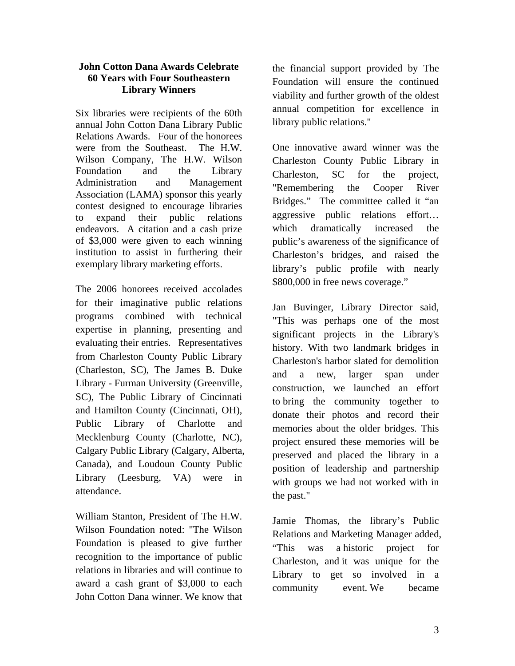#### **John Cotton Dana Awards Celebrate 60 Years with Four Southeastern Library Winners**

Six libraries were recipients of the 60th annual John Cotton Dana Library Public Relations Awards. Four of the honorees were from the Southeast. The H.W. Wilson Company, The H.W. Wilson Foundation and the Library Administration and Management Association (LAMA) sponsor this yearly contest designed to encourage libraries to expand their public relations endeavors. A citation and a cash prize of \$3,000 were given to each winning institution to assist in furthering their exemplary library marketing efforts.

The 2006 honorees received accolades for their imaginative public relations programs combined with technical expertise in planning, presenting and evaluating their entries. Representatives from Charleston County Public Library (Charleston, SC), The James B. Duke Library - Furman University (Greenville, SC), The Public Library of Cincinnati and Hamilton County (Cincinnati, OH), Public Library of Charlotte and Mecklenburg County (Charlotte, NC), Calgary Public Library (Calgary, Alberta, Canada), and Loudoun County Public Library (Leesburg, VA) were in attendance.

William Stanton, President of The H.W. Wilson Foundation noted: "The Wilson Foundation is pleased to give further recognition to the importance of public relations in libraries and will continue to award a cash grant of \$3,000 to each John Cotton Dana winner. We know that the financial support provided by The Foundation will ensure the continued viability and further growth of the oldest annual competition for excellence in library public relations."

One innovative award winner was the Charleston County Public Library in Charleston, SC for the project, "Remembering the Cooper River Bridges." The committee called it "an aggressive public relations effort… which dramatically increased the public's awareness of the significance of Charleston's bridges, and raised the library's public profile with nearly \$800,000 in free news coverage."

Jan Buvinger, Library Director said, "This was perhaps one of the most significant projects in the Library's history. With two landmark bridges in Charleston's harbor slated for demolition and a new, larger span under construction, we launched an effort to bring the community together to donate their photos and record their memories about the older bridges. This project ensured these memories will be preserved and placed the library in a position of leadership and partnership with groups we had not worked with in the past."

Jamie Thomas, the library's Public Relations and Marketing Manager added, "This was a historic project for Charleston, and it was unique for the Library to get so involved in a community event. We became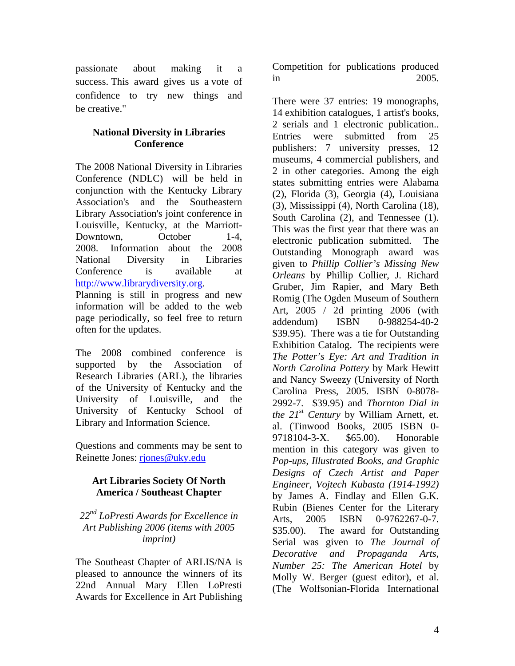passionate about making it a success. This award gives us a vote of confidence to try new things and be creative."

# **National Diversity in Libraries Conference**

The 2008 National Diversity in Libraries Conference (NDLC) will be held in conjunction with the Kentucky Library Association's and the Southeastern Library Association's joint conference in Louisville, Kentucky, at the Marriott-Downtown, October 1-4, 2008. Information about the 2008 National Diversity in Libraries Conference is available at [http://www.librarydiversity.org.](http://www.librarydiversity.org/)

Planning is still in progress and new information will be added to the web page periodically, so feel free to return often for the updates.

The 2008 combined conference is supported by the Association of Research Libraries (ARL), the libraries of the University of Kentucky and the University of Louisville, and the University of Kentucky School of Library and Information Science.

Questions and comments may be sent to Reinette Jones: [rjones@uky.edu](mailto:rjones@uky.edu)

# **Art Libraries Society Of North America / Southeast Chapter**

*22nd LoPresti Awards for Excellence in Art Publishing 2006 (items with 2005 imprint)* 

The Southeast Chapter of ARLIS/NA is pleased to announce the winners of its 22nd Annual Mary Ellen LoPresti Awards for Excellence in Art Publishing

Competition for publications produced in 2005.

There were 37 entries: 19 monographs, 14 exhibition catalogues, 1 artist's books, 2 serials and 1 electronic publication.. Entries were submitted from 25 publishers: 7 university presses, 12 museums, 4 commercial publishers, and 2 in other categories. Among the eigh states submitting entries were Alabama (2), Florida (3), Georgia (4), Louisiana (3), Mississippi (4), North Carolina (18), South Carolina (2), and Tennessee (1). This was the first year that there was an electronic publication submitted. The Outstanding Monograph award was given to *Phillip Collier's Missing New Orleans* by Phillip Collier, J. Richard Gruber, Jim Rapier, and Mary Beth Romig (The Ogden Museum of Southern Art, 2005 / 2d printing 2006 (with addendum) ISBN 0-988254-40-2 \$39.95). There was a tie for Outstanding Exhibition Catalog. The recipients were *The Potter's Eye: Art and Tradition in North Carolina Pottery* by Mark Hewitt and Nancy Sweezy (University of North Carolina Press, 2005. ISBN 0-8078- 2992-7. \$39.95) and *Thornton Dial in the 21st Century* by William Arnett, et. al. (Tinwood Books, 2005 ISBN 0- 9718104-3-X. \$65.00). Honorable mention in this category was given to *Pop-ups, Illustrated Books, and Graphic Designs of Czech Artist and Paper Engineer, Vojtech Kubasta (1914-1992)* by James A. Findlay and Ellen G.K. Rubin (Bienes Center for the Literary Arts. 2005 ISBN 0-9762267-0-7. \$35.00). The award for Outstanding Serial was given to *The Journal of Decorative and Propaganda Arts, Number 25: The American Hotel* by Molly W. Berger (guest editor), et al. (The Wolfsonian-Florida International